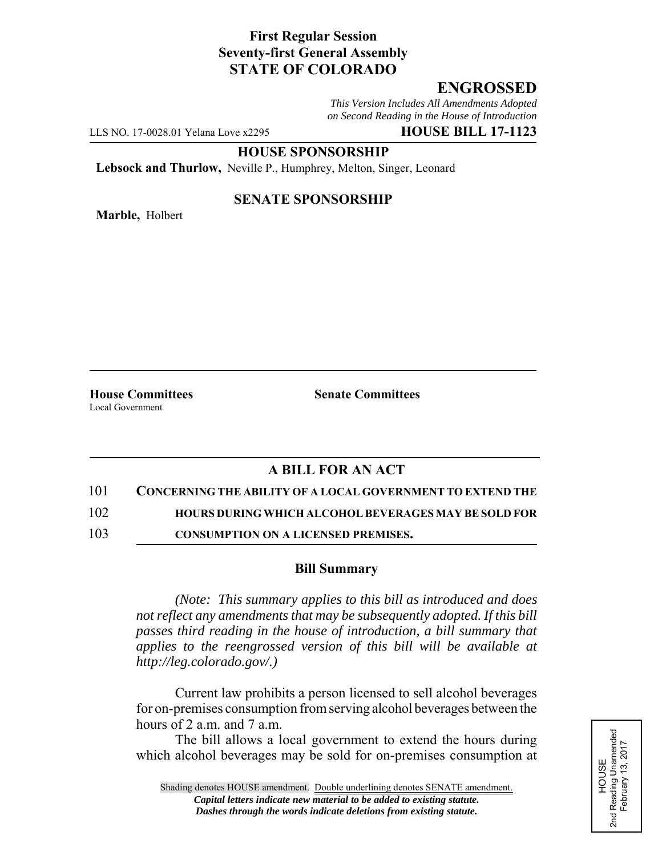## **First Regular Session Seventy-first General Assembly STATE OF COLORADO**

# **ENGROSSED**

*This Version Includes All Amendments Adopted on Second Reading in the House of Introduction*

LLS NO. 17-0028.01 Yelana Love x2295 **HOUSE BILL 17-1123**

**HOUSE SPONSORSHIP**

**Lebsock and Thurlow,** Neville P., Humphrey, Melton, Singer, Leonard

**Marble,** Holbert

### **SENATE SPONSORSHIP**

Local Government

**House Committees Senate Committees** 

# **A BILL FOR AN ACT**

101 **CONCERNING THE ABILITY OF A LOCAL GOVERNMENT TO EXTEND THE**

102 **HOURS DURING WHICH ALCOHOL BEVERAGES MAY BE SOLD FOR**

103 **CONSUMPTION ON A LICENSED PREMISES.**

#### **Bill Summary**

*(Note: This summary applies to this bill as introduced and does not reflect any amendments that may be subsequently adopted. If this bill passes third reading in the house of introduction, a bill summary that applies to the reengrossed version of this bill will be available at http://leg.colorado.gov/.)*

Current law prohibits a person licensed to sell alcohol beverages for on-premises consumption from serving alcohol beverages between the hours of 2 a.m. and 7 a.m.

The bill allows a local government to extend the hours during which alcohol beverages may be sold for on-premises consumption at HOUSE<br>d Reading Unamended<br>February 13, 2017 2nd Reading Unamended February 13, 2017 2<sub>nd</sub>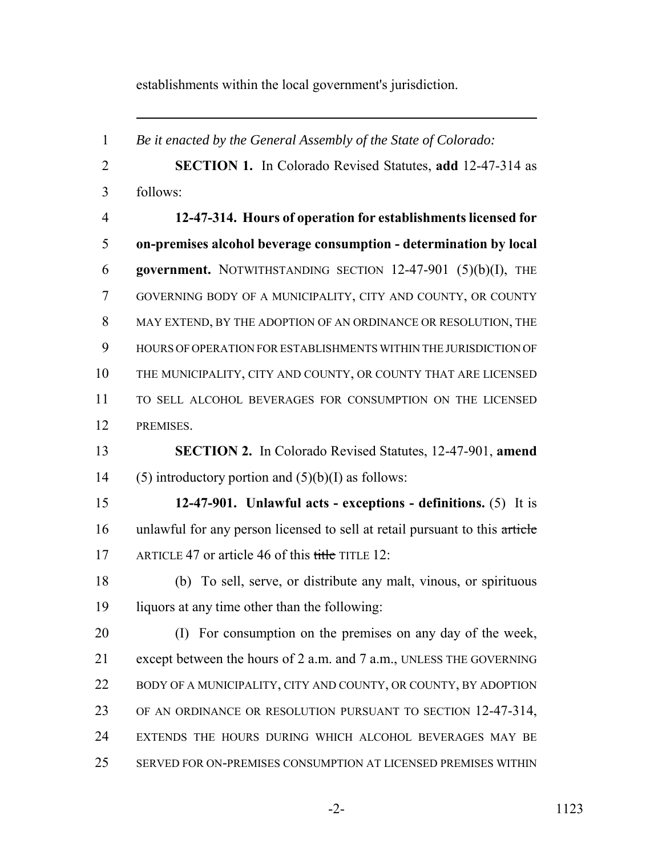establishments within the local government's jurisdiction.

 *Be it enacted by the General Assembly of the State of Colorado:* **SECTION 1.** In Colorado Revised Statutes, **add** 12-47-314 as follows: **12-47-314. Hours of operation for establishments licensed for on-premises alcohol beverage consumption - determination by local government.** NOTWITHSTANDING SECTION 12-47-901 (5)(b)(I), THE GOVERNING BODY OF A MUNICIPALITY, CITY AND COUNTY, OR COUNTY MAY EXTEND, BY THE ADOPTION OF AN ORDINANCE OR RESOLUTION, THE HOURS OF OPERATION FOR ESTABLISHMENTS WITHIN THE JURISDICTION OF THE MUNICIPALITY, CITY AND COUNTY, OR COUNTY THAT ARE LICENSED TO SELL ALCOHOL BEVERAGES FOR CONSUMPTION ON THE LICENSED PREMISES. **SECTION 2.** In Colorado Revised Statutes, 12-47-901, **amend** 14 (5) introductory portion and  $(5)(b)(I)$  as follows: **12-47-901. Unlawful acts - exceptions - definitions.** (5) It is unlawful for any person licensed to sell at retail pursuant to this article 17 ARTICLE 47 or article 46 of this title TITLE 12: (b) To sell, serve, or distribute any malt, vinous, or spirituous liquors at any time other than the following: (I) For consumption on the premises on any day of the week, except between the hours of 2 a.m. and 7 a.m., UNLESS THE GOVERNING 22 BODY OF A MUNICIPALITY, CITY AND COUNTY, OR COUNTY, BY ADOPTION OF AN ORDINANCE OR RESOLUTION PURSUANT TO SECTION 12-47-314, EXTENDS THE HOURS DURING WHICH ALCOHOL BEVERAGES MAY BE SERVED FOR ON-PREMISES CONSUMPTION AT LICENSED PREMISES WITHIN